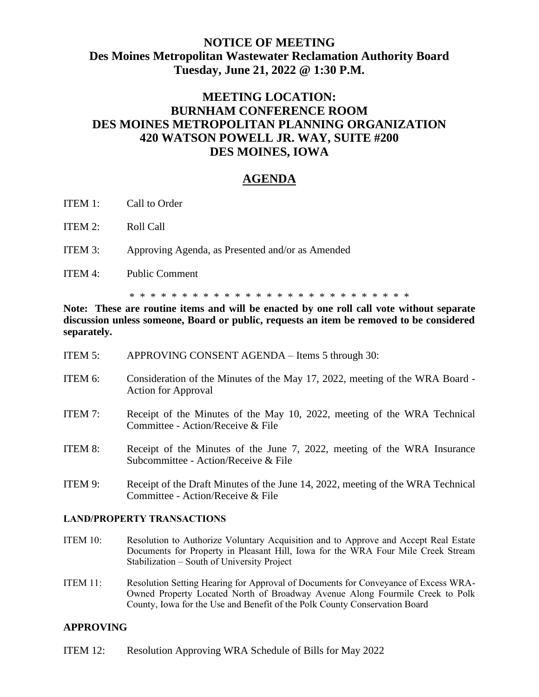## **NOTICE OF MEETING Des Moines Metropolitan Wastewater Reclamation Authority Board Tuesday, June 21, 2022 @ 1:30 P.M.**

# **MEETING LOCATION: BURNHAM CONFERENCE ROOM DES MOINES METROPOLITAN PLANNING ORGANIZATION 420 WATSON POWELL JR. WAY, SUITE #200 DES MOINES, IOWA**

## **AGENDA**

- ITEM 1: Call to Order
- ITEM 2: Roll Call
- ITEM 3: Approving Agenda, as Presented and/or as Amended
- ITEM 4: Public Comment

\* \* \* \* \* \* \* \* \* \* \* \* \* \* \* \* \* \* \* \* \* \* \* \* \* \* \*

**Note: These are routine items and will be enacted by one roll call vote without separate discussion unless someone, Board or public, requests an item be removed to be considered separately.**

- ITEM 5: APPROVING CONSENT AGENDA Items 5 through 30:
- ITEM 6: Consideration of the Minutes of the May 17, 2022, meeting of the WRA Board Action for Approval
- ITEM 7: Receipt of the Minutes of the May 10, 2022, meeting of the WRA Technical Committee - Action/Receive & File
- ITEM 8: Receipt of the Minutes of the June 7, 2022, meeting of the WRA Insurance Subcommittee - Action/Receive & File
- ITEM 9: Receipt of the Draft Minutes of the June 14, 2022, meeting of the WRA Technical Committee - Action/Receive & File

#### **LAND/PROPERTY TRANSACTIONS**

- ITEM 10: Resolution to Authorize Voluntary Acquisition and to Approve and Accept Real Estate Documents for Property in Pleasant Hill, Iowa for the WRA Four Mile Creek Stream Stabilization – South of University Project
- ITEM 11: Resolution Setting Hearing for Approval of Documents for Conveyance of Excess WRA-Owned Property Located North of Broadway Avenue Along Fourmile Creek to Polk County, Iowa for the Use and Benefit of the Polk County Conservation Board

### **APPROVING**

ITEM 12: Resolution Approving WRA Schedule of Bills for May 2022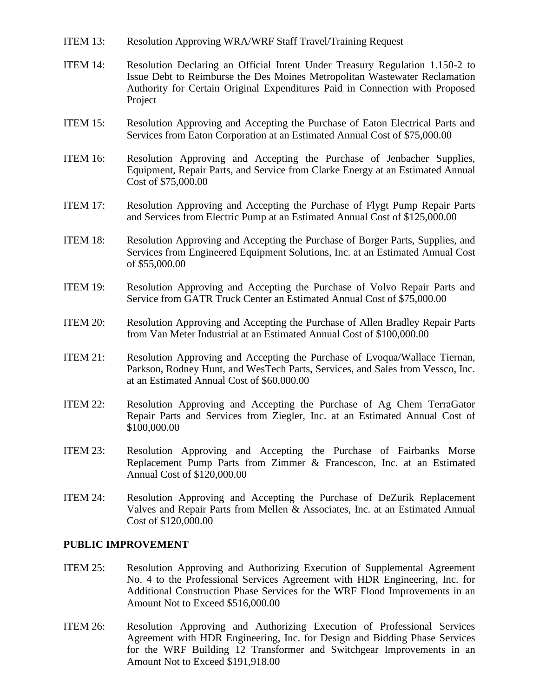- ITEM 13: Resolution Approving WRA/WRF Staff Travel/Training Request
- ITEM 14: Resolution Declaring an Official Intent Under Treasury Regulation 1.150-2 to Issue Debt to Reimburse the Des Moines Metropolitan Wastewater Reclamation Authority for Certain Original Expenditures Paid in Connection with Proposed Project
- ITEM 15: Resolution Approving and Accepting the Purchase of Eaton Electrical Parts and Services from Eaton Corporation at an Estimated Annual Cost of \$75,000.00
- ITEM 16: Resolution Approving and Accepting the Purchase of Jenbacher Supplies, Equipment, Repair Parts, and Service from Clarke Energy at an Estimated Annual Cost of \$75,000.00
- ITEM 17: Resolution Approving and Accepting the Purchase of Flygt Pump Repair Parts and Services from Electric Pump at an Estimated Annual Cost of \$125,000.00
- ITEM 18: Resolution Approving and Accepting the Purchase of Borger Parts, Supplies, and Services from Engineered Equipment Solutions, Inc. at an Estimated Annual Cost of \$55,000.00
- ITEM 19: Resolution Approving and Accepting the Purchase of Volvo Repair Parts and Service from GATR Truck Center an Estimated Annual Cost of \$75,000.00
- ITEM 20: Resolution Approving and Accepting the Purchase of Allen Bradley Repair Parts from Van Meter Industrial at an Estimated Annual Cost of \$100,000.00
- ITEM 21: Resolution Approving and Accepting the Purchase of Evoqua/Wallace Tiernan, Parkson, Rodney Hunt, and WesTech Parts, Services, and Sales from Vessco, Inc. at an Estimated Annual Cost of \$60,000.00
- ITEM 22: Resolution Approving and Accepting the Purchase of Ag Chem TerraGator Repair Parts and Services from Ziegler, Inc. at an Estimated Annual Cost of \$100,000.00
- ITEM 23: Resolution Approving and Accepting the Purchase of Fairbanks Morse Replacement Pump Parts from Zimmer & Francescon, Inc. at an Estimated Annual Cost of \$120,000.00
- ITEM 24: Resolution Approving and Accepting the Purchase of DeZurik Replacement Valves and Repair Parts from Mellen & Associates, Inc. at an Estimated Annual Cost of \$120,000.00

#### **PUBLIC IMPROVEMENT**

- ITEM 25: Resolution Approving and Authorizing Execution of Supplemental Agreement No. 4 to the Professional Services Agreement with HDR Engineering, Inc. for Additional Construction Phase Services for the WRF Flood Improvements in an Amount Not to Exceed \$516,000.00
- ITEM 26: Resolution Approving and Authorizing Execution of Professional Services Agreement with HDR Engineering, Inc. for Design and Bidding Phase Services for the WRF Building 12 Transformer and Switchgear Improvements in an Amount Not to Exceed \$191,918.00